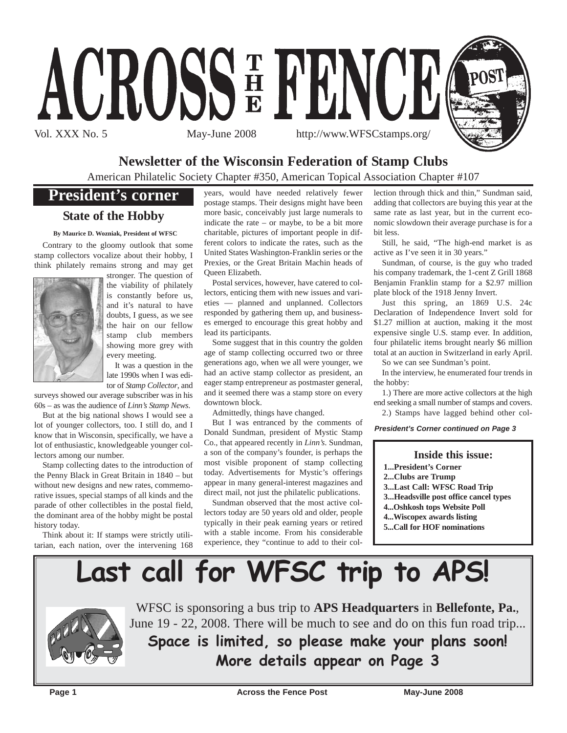

## **Newsletter of the Wisconsin Federation of Stamp Clubs**

American Philatelic Society Chapter #350, American Topical Association Chapter #107

## **President's corner**

## **State of the Hobby**

**By Maurice D. Wozniak, President of WFSC**

Contrary to the gloomy outlook that some stamp collectors vocalize about their hobby, I think philately remains strong and may get



stronger. The question of the viability of philately is constantly before us, and it's natural to have doubts, I guess, as we see the hair on our fellow stamp club members showing more grey with every meeting.

It was a question in the late 1990s when I was editor of *Stamp Collector*, and

surveys showed our average subscriber was in his 60s – as was the audience of *Linn's Stamp News*.

But at the big national shows I would see a lot of younger collectors, too. I still do, and I know that in Wisconsin, specifically, we have a lot of enthusiastic, knowledgeable younger collectors among our number.

Stamp collecting dates to the introduction of the Penny Black in Great Britain in 1840 – but without new designs and new rates, commemorative issues, special stamps of all kinds and the parade of other collectibles in the postal field, the dominant area of the hobby might be postal history today.

Think about it: If stamps were strictly utilitarian, each nation, over the intervening 168 years, would have needed relatively fewer postage stamps. Their designs might have been more basic, conceivably just large numerals to indicate the rate – or maybe, to be a bit more charitable, pictures of important people in different colors to indicate the rates, such as the United States Washington-Franklin series or the Prexies, or the Great Britain Machin heads of Queen Elizabeth.

Postal services, however, have catered to collectors, enticing them with new issues and varieties — planned and unplanned. Collectors responded by gathering them up, and businesses emerged to encourage this great hobby and lead its participants.

Some suggest that in this country the golden age of stamp collecting occurred two or three generations ago, when we all were younger, we had an active stamp collector as president, an eager stamp entrepreneur as postmaster general, and it seemed there was a stamp store on every downtown block.

Admittedly, things have changed.

But I was entranced by the comments of Donald Sundman, president of Mystic Stamp Co., that appeared recently in *Linn's*. Sundman, a son of the company's founder, is perhaps the most visible proponent of stamp collecting today. Advertisements for Mystic's offerings appear in many general-interest magazines and direct mail, not just the philatelic publications.

Sundman observed that the most active collectors today are 50 years old and older, people typically in their peak earning years or retired with a stable income. From his considerable experience, they "continue to add to their col-

lection through thick and thin," Sundman said, adding that collectors are buying this year at the same rate as last year, but in the current economic slowdown their average purchase is for a bit less.

Still, he said, "The high-end market is as active as I've seen it in 30 years."

Sundman, of course, is the guy who traded his company trademark, the 1-cent Z Grill 1868 Benjamin Franklin stamp for a \$2.97 million plate block of the 1918 Jenny Invert.

Just this spring, an 1869 U.S. 24c Declaration of Independence Invert sold for \$1.27 million at auction, making it the most expensive single U.S. stamp ever. In addition, four philatelic items brought nearly \$6 million total at an auction in Switzerland in early April.

So we can see Sundman's point.

In the interview, he enumerated four trends in the hobby:

1.) There are more active collectors at the high end seeking a small number of stamps and covers. 2.) Stamps have lagged behind other col-

*President's Corner continued on Page 3*

### **Inside this issue:**

- **1...President's Corner**
- **2...Clubs are Trump**
- **3...Last Call: WFSC Road Trip**
- **3...Headsville post office cancel types**
- **4...Oshkosh tops Website Poll**
- **4...Wiscopex awards listing**
- **5...Call for HOF nominations**





WFSC is sponsoring a bus trip to **APS Headquarters** in **Bellefonte, Pa.**, June 19 - 22, 2008. There will be much to see and do on this fun road trip...

**Space is limited, so please make your plans soon! More details appear on Page 3**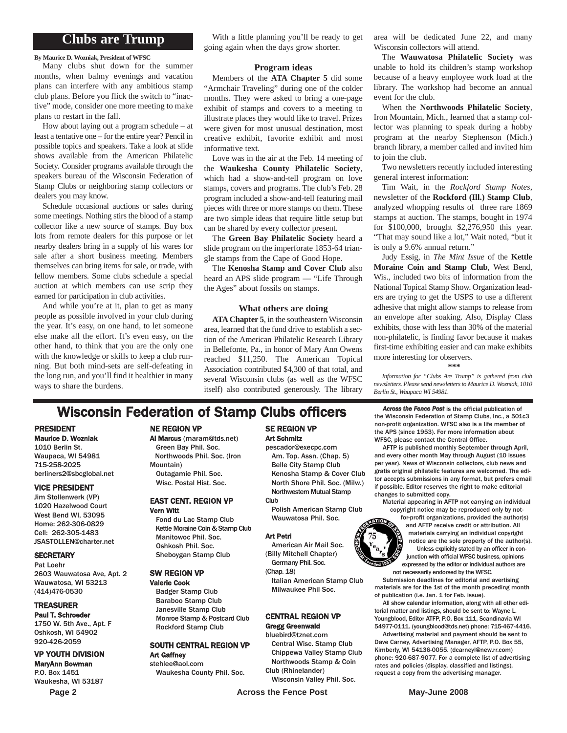### **Clubs are Trump**

**By Maurice D. Wozniak, President of WFSC**

Many clubs shut down for the summer months, when balmy evenings and vacation plans can interfere with any ambitious stamp club plans. Before you flick the switch to "inactive" mode, consider one more meeting to make plans to restart in the fall.

How about laying out a program schedule – at least a tentative one – for the entire year? Pencil in possible topics and speakers. Take a look at slide shows available from the American Philatelic Society. Consider programs available through the speakers bureau of the Wisconsin Federation of Stamp Clubs or neighboring stamp collectors or dealers you may know.

Schedule occasional auctions or sales during some meetings. Nothing stirs the blood of a stamp collector like a new source of stamps. Buy box lots from remote dealers for this purpose or let nearby dealers bring in a supply of his wares for sale after a short business meeting. Members themselves can bring items for sale, or trade, with fellow members. Some clubs schedule a special auction at which members can use scrip they earned for participation in club activities.

And while you're at it, plan to get as many people as possible involved in your club during the year. It's easy, on one hand, to let someone else make all the effort. It's even easy, on the other hand, to think that you are the only one with the knowledge or skills to keep a club running. But both mind-sets are self-defeating in the long run, and you'll find it healthier in many ways to share the burdens.

With a little planning you'll be ready to get going again when the days grow shorter.

#### **Program ideas**

Members of the **ATA Chapter 5** did some "Armchair Traveling" during one of the colder months. They were asked to bring a one-page exhibit of stamps and covers to a meeting to illustrate places they would like to travel. Prizes were given for most unusual destination, most creative exhibit, favorite exhibit and most informative text.

Love was in the air at the Feb. 14 meeting of the **Waukesha County Philatelic Society**, which had a show-and-tell program on love stamps, covers and programs. The club's Feb. 28 program included a show-and-tell featuring mail pieces with three or more stamps on them. These are two simple ideas that require little setup but can be shared by every collector present.

The **Green Bay Philatelic Society** heard a slide program on the imperforate 1853-64 triangle stamps from the Cape of Good Hope.

The **Kenosha Stamp and Cover Club** also heard an APS slide program — "Life Through the Ages" about fossils on stamps.

#### **What others are doing**

**ATA Chapter 5**, in the southeastern Wisconsin area, learned that the fund drive to establish a section of the American Philatelic Research Library in Bellefonte, Pa., in honor of Mary Ann Owens reached \$11,250. The American Topical Association contributed \$4,300 of that total, and several Wisconsin clubs (as well as the WFSC itself) also contributed generously. The library

area will be dedicated June 22, and many Wisconsin collectors will attend.

The **Wauwatosa Philatelic Society** was unable to hold its children's stamp workshop because of a heavy employee work load at the library. The workshop had become an annual event for the club.

When the **Northwoods Philatelic Society**, Iron Mountain, Mich., learned that a stamp collector was planning to speak during a hobby program at the nearby Stephenson (Mich.) branch library, a member called and invited him to join the club.

Two newsletters recently included interesting general interest information:

Tim Wait, in the *Rockford Stamp Notes*, newsletter of the **Rockford (Ill.) Stamp Club**, analyzed whopping results of three rare 1869 stamps at auction. The stamps, bought in 1974 for \$100,000, brought \$2,276,950 this year. "That may sound like a lot," Wait noted, "but it is only a 9.6% annual return."

Judy Essig, in *The Mint Issue* of the **Kettle Moraine Coin and Stamp Club**, West Bend, Wis., included two bits of information from the National Topical Stamp Show. Organization leaders are trying to get the USPS to use a different adhesive that might allow stamps to release from an envelope after soaking. Also, Display Class exhibits, those with less than 30% of the material non-philatelic, is finding favor because it makes first-time exhibiting easier and can make exhibits more interesting for observers.

*Information for "Clubs Are Trump" is gathered from club newsletters. Please send newsletters to Maurice D. Wozniak, 1010 Berlin St., Waupaca WI 54981.*

**\*\*\***

## **Wisconsin Federation of Stamp Clubs officers** *Across the Fence Post* is the official publication of

### PRESIDENT

Maurice D. Wozniak 1010 Berlin St. Waupaca, WI 54981 715-258-2025 berliners2@sbcglobal.net

#### VICE PRESIDENT

Jim Stollenwerk (VP) 1020 Hazelwood Court West Bend WI, 53095 Home: 262-306-0829 Cell: 262-305-1483 JSASTOLLEN@charter.net

#### **SECRETARY**

Pat Loehr 2603 Wauwatosa Ave, Apt. 2 Wauwatosa, WI 53213 (414)476-0530

#### TREASURER

Paul T. Schroeder 1750 W. 5th Ave., Apt. F Oshkosh, WI 54902 920-426-2059

### VP YOUTH DIVISION

MaryAnn Bowman P.O. Box 1451 Waukesha, WI 53187

#### NE REGION VP

#### Al Marcus (maram@tds.net)

Green Bay Phil. Soc. Northwoods Phil. Soc. (Iron Mountain) Outagamie Phil. Soc. Wisc. Postal Hist. Soc.

#### EAST CENT. REGION VP Vern Witt

Fond du Lac Stamp Club Kettle Moraine Coin & Stamp Club Manitowoc Phil. Soc. Oshkosh Phil. Soc. Sheboygan Stamp Club

#### SW REGION VP

Valerie Cook Badger Stamp Club Baraboo Stamp Club Janesville Stamp Club Monroe Stamp & Postcard Club Rockford Stamp Club

#### SOUTH CENTRAL REGION VP Art Gaffney stehlee@aol.com

Waukesha County Phil. Soc.

#### SE REGION VP Art Schmitz pescador@execpc.com

Am. Top. Assn. (Chap. 5) Belle City Stamp Club Kenosha Stamp & Cover Club North Shore Phil. Soc. (Milw.) Northwestern Mutual Stamp

**Club** Polish American Stamp Club Wauwatosa Phil. Soc.

#### Art Petri

American Air Mail Soc. (Billy Mitchell Chapter) Germany Phil. Soc.

(Chap. 18)

Italian American Stamp Club Milwaukee Phil Soc.

#### CENTRAL REGION VP Gregg Greenwald

### bluebird@tznet.com

Central Wisc. Stamp Club Chippewa Valley Stamp Club Northwoods Stamp & Coin

Club (Rhinelander) Wisconsin Valley Phil. Soc.

Page 2 **Across the Fence Post** May-June 2008

the Wisconsin Federation of Stamp Clubs, Inc., a 501c3 non-profit organization. WFSC also is a life member of the APS (since 1953). For more information about WFSC, please contact the Central Office.

AFTP is published monthly September through April, and every other month May through August (10 issues per year). News of Wisconsin collectors, club news and gratis original philatelic features are welcomed. The editor accepts submissions in any format, but prefers email if possible. Editor reserves the right to make editorial changes to submitted copy.

Material appearing in AFTP not carrying an individual copyright notice may be reproduced only by not-

for-profit organizations, provided the author(s) and AFTP receive credit or attribution. All materials carrying an individual copyright notice are the sole property of the author(s). Unless explicitly stated by an officer in conjunction with official WFSC business, opinions expressed by the editor or individual authors are not necessarily endorsed by the WFSC.

Submission deadlines for editorial and avertising materials are for the 1st of the month preceding month of publication (i.e. Jan. 1 for Feb. issue).

All show calendar information, along with all other editorial matter and listings, should be sent to: Wayne L. Youngblood, Editor ATFP, P.O. Box 111, Scandinavia WI 54977-0111. (youngblood@tds.net) phone: 715-467-4416.

Advertising material and payment should be sent to Dave Carney, Advertising Manager, AFTP, P.O. Box 55, Kimberly, WI 54136-0055. (dcarneyl@new.rr.com) phone: 920-687-9077. For a complete list of advertising rates and policies (display, classified and listings), request a copy from the advertising manager.

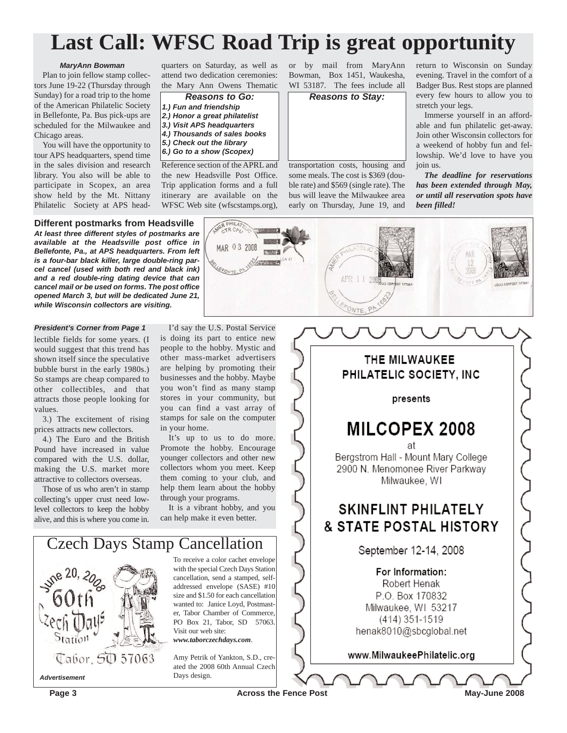## **Last Call: WFSC Road Trip is great opportunity**

#### *MaryAnn Bowman*

Plan to join fellow stamp collectors June 19-22 (Thursday through Sunday) for a road trip to the home of the American Philatelic Society in Bellefonte, Pa. Bus pick-ups are scheduled for the Milwaukee and Chicago areas.

You will have the opportunity to tour APS headquarters, spend time in the sales division and research library. You also will be able to participate in Scopex, an area show held by the Mt. Nittany Philatelic Society at APS headquarters on Saturday, as well as attend two dedication ceremonies: the Mary Ann Owens Thematic

- *Reasons to Go: 1.) Fun and friendship*
- *2.) Honor a great philatelist 3.) Visit APS headquarters*
- *4.) Thousands of sales books*
- *5.) Check out the library*
- *6.) Go to a show (Scopex)*

Reference section of the APRL and the new Headsville Post Office. Trip application forms and a full itinerary are available on the WFSC Web site (wfscstamps.org),

ER PHILATE

MAR 03 2008

or by mail from MaryAnn Bowman, Box 1451, Waukesha, WI 53187. The fees include all

*Reasons to Stay:*

transportation costs, housing and some meals. The cost is \$369 (double rate) and \$569 (single rate). The bus will leave the Milwaukee area early on Thursday, June 19, and

CONTE, PA

return to Wisconsin on Sunday evening. Travel in the comfort of a Badger Bus. Rest stops are planned every few hours to allow you to stretch your legs.

Immerse yourself in an affordable and fun philatelic get-away. Join other Wisconsin collectors for a weekend of hobby fun and fellowship. We'd love to have you join us.

*The deadline for reservations has been extended through May, or until all reservation spots have been filled!*



#### *President's Corner from Page 1*

lectible fields for some years. (I would suggest that this trend has shown itself since the speculative bubble burst in the early 1980s.) So stamps are cheap compared to other collectibles, and that attracts those people looking for values.

3.) The excitement of rising prices attracts new collectors.

4.) The Euro and the British Pound have increased in value compared with the U.S. dollar, making the U.S. market more attractive to collectors overseas.

Those of us who aren't in stamp collecting's upper crust need lowlevel collectors to keep the hobby alive, and this is where you come in.

I'd say the U.S. Postal Service is doing its part to entice new people to the hobby. Mystic and other mass-market advertisers are helping by promoting their businesses and the hobby. Maybe you won't find as many stamp stores in your community, but you can find a vast array of stamps for sale on the computer in your home.

It's up to us to do more. Promote the hobby. Encourage younger collectors and other new collectors whom you meet. Keep them coming to your club, and help them learn about the hobby through your programs.

It is a vibrant hobby, and you can help make it even better.



To receive a color cachet envelope with the special Czech Days Station cancellation, send a stamped, selfaddressed envelope (SASE) #10 size and \$1.50 for each cancellation wanted to: Janice Loyd, Postmaster, Tabor Chamber of Commerce, PO Box 21, Tabor, SD 57063. Visit our web site: *www.taborczechdays.com*.

Amy Petrik of Yankton, S.D., created the 2008 60th Annual Czech PHILATELIC SOCIETY, INC presents **MILCOPEX 2008** 

THE MILWAUKEE

Bergstrom Hall - Mount Mary College 2900 N. Menomonee River Parkway Milwaukee, WI

## **SKINFLINT PHILATELY & STATE POSTAL HISTORY**

September 12-14, 2008

For Information: Robert Henak P.O. Box 170832 Milwaukee, WI 53217 (414) 351-1519 henak8010@sbcglobal.net

www.MilwaukeePhilatelic.org

**Page 3** May-June 2008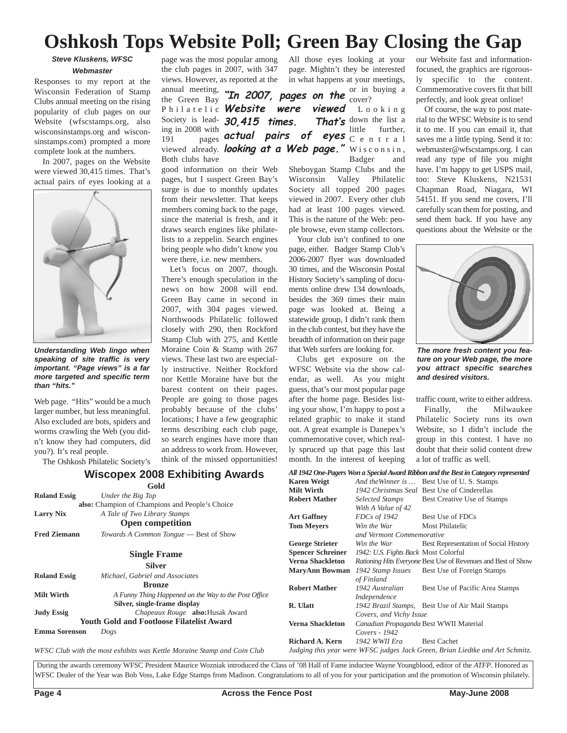## **Oshkosh Tops Website Poll; Green Bay Closing the Gap**

### *Steve Kluskens, WFSC Webmaster*

Responses to my report at the Wisconsin Federation of Stamp Clubs annual meeting on the rising popularity of club pages on our Website (wfscstamps.org, also wisconsinstamps.org and wisconsinstamps.com) prompted a more complete look at the numbers.

In 2007, pages on the Website were viewed 30,415 times. That's actual pairs of eyes looking at a



*Understanding Web lingo when speaking of site traffic is very important. "Page views" is a far more targeted and specific term than "hits."*

Web page. "Hits" would be a much larger number, but less meaningful. Also excluded are bots, spiders and worms crawling the Web (you didn't know they had computers, did you?). It's real people.

The Oshkosh Philatelic Society's

page was the most popular among the club pages in 2007, with 347 views. However, as reported at the

annual meeting, the Green Bay Philatelic **Website were viewed** Society is lead-**30,415 times. That's** ing in 2008 with Both clubs have

good information on their Web pages, but I suspect Green Bay's surge is due to monthly updates from their newsletter. That keeps members coming back to the page, since the material is fresh, and it draws search engines like philatelists to a zeppelin. Search engines bring people who didn't know you were there, i.e. new members.

Let's focus on 2007, though. There's enough speculation in the news on how 2008 will end. Green Bay came in second in 2007, with 304 pages viewed. Northwoods Philatelic followed closely with 290, then Rockford Stamp Club with 275, and Kettle Moraine Coin & Stamp with 267 views. These last two are especially instructive. Neither Rockford nor Kettle Moraine have but the barest content on their pages. People are going to those pages probably because of the clubs' locations; I have a few geographic terms describing each club page, so search engines have more than an address to work from. However, think of the missed opportunities!

All those eyes looking at your page. Mightn't they be interested in what happens at your meetings,

or in buying a "In 2007, pages on the  $\frac{61}{\text{cover}2}$ 

191 **pages actual pairs of eyes** C e n t r a 1 viewed already. *looking at a Web page."* Wisconsin, **viewed** Looking That's down the list a little further, Badger and

Sheboygan Stamp Clubs and the<br>Wisconsin Valley Philatelic Valley Philatelic Society all topped 200 pages viewed in 2007. Every other club had at least 100 pages viewed. This is the nature of the Web: people browse, even stamp collectors.

Your club isn't confined to one page, either. Badger Stamp Club's 2006-2007 flyer was downloaded 30 times, and the Wisconsin Postal History Society's sampling of documents online drew 134 downloads, besides the 369 times their main page was looked at. Being a statewide group, I didn't rank them in the club contest, but they have the breadth of information on their page that Web surfers are looking for.

Clubs get exposure on the WFSC Website via the show calendar, as well. As you might guess, that's our most popular page after the home page. Besides listing your show, I'm happy to post a related graphic to make it stand out. A great example is Danepex's commemorative cover, which really spruced up that page this last month. In the interest of keeping

*All 1942 One-Pagers Won a Special Award Ribbon and the Best in Category represented* **Karen Weigt** *And theWinner is …* Best Use of U. S. Stamps

our Website fast and informationfocused, the graphics are rigorously specific to the content. Commemorative covers fit that bill perfectly, and look great online!

Of course, the way to post material to the WFSC Website is to send it to me. If you can email it, that saves me a little typing. Send it to: webmaster@wfscstamps.org. I can read any type of file you might have. I'm happy to get USPS mail, too: Steve Kluskens, N21531 Chapman Road, Niagara, WI 54151. If you send me covers, I'll carefully scan them for posting, and send them back. If you have any questions about the Website or the



*The more fresh content you feature on your Web page, the more you attract specific searches and desired visitors.*

traffic count, write to either address. Finally, the Milwaukee Philatelic Society runs its own Website, so I didn't include the group in this contest. I have no doubt that their solid content drew a lot of traffic as well.

### **Wiscopex 2008 Exhibiting Awards**

**Gold**

| GOIA                                                                    |                                                                                                    | <b>Milt Wirth</b>                                                                                | 1942 Christmas Seal Best Use of Cinderellas                       |                                                                                             |
|-------------------------------------------------------------------------|----------------------------------------------------------------------------------------------------|--------------------------------------------------------------------------------------------------|-------------------------------------------------------------------|---------------------------------------------------------------------------------------------|
| <b>Roland Essig</b>                                                     | Under the Big Top<br>also: Champion of Champions and People's Choice                               |                                                                                                  | Selected Stamps<br>With A Value of 42                             | Best Creative Use of Stamps                                                                 |
| <b>Larry Nix</b><br><b>Fred Ziemann</b>                                 | A Tale of Two Library Stamps<br><b>Open competition</b><br>Towards A Common Tongue - Best of Show  | <b>Art Gaffney</b><br><b>Tom Mevers</b>                                                          | FDCs of 1942<br>Win the War<br>and Vermont Commemorative          | Best Use of FDCs<br>Most Philatelic                                                         |
|                                                                         | <b>Single Frame</b>                                                                                | <b>George Strieter</b><br><b>Spencer Schreiner</b>                                               | Win the War<br>1942: U.S. Fights Back Most Colorful               | Best Representation of Social History                                                       |
|                                                                         | <b>Silver</b>                                                                                      | Verna Shackleton<br><b>MaryAnn Bowman</b>                                                        | 1942 Stamp Issues                                                 | Rationing Hits Everyone Best Use of Revenues and Best of Show<br>Best Use of Foreign Stamps |
| <b>Roland Essig</b>                                                     | Michael, Gabriel and Associates<br><b>Bronze</b>                                                   | <b>Robert Mather</b>                                                                             | of Finland<br>1942 Australian                                     | Best Use of Pacific Area Stamps                                                             |
| Milt Wirth                                                              | A Funny Thing Happened on the Way to the Post Office<br>Silver, single-frame display               | R. Ulatt                                                                                         | Independence                                                      | 1942 Brazil Stamps, Best Use of Air Mail Stamps                                             |
| <b>Judy Essig</b>                                                       | <i>Chapeaux Rouge</i> <b>also:</b> Husak Award<br><b>Youth Gold and Footloose Filatelist Award</b> | Verna Shackleton                                                                                 | Covers, and Vichy Issue<br>Canadian Propaganda Best WWII Material |                                                                                             |
| <b>Emma Sorenson</b><br>Dogs                                            |                                                                                                    |                                                                                                  | Covers - 1942<br>1942 WWII Era<br><b>Best Cachet</b>              |                                                                                             |
| WFSC Club with the most exhibits was Kettle Moraine Stamp and Coin Club |                                                                                                    | Richard A. Kern<br>Judging this year were WFSC judges Jack Green, Brian Liedtke and Art Schmitz. |                                                                   |                                                                                             |

During the awards ceremony WFSC President Maurice Wozniak introduced the Class of '08 Hall of Fame inductee Wayne Youngblood, editor of the *ATFP*. Honored as WFSC Dealer of the Year was Bob Voss, Lake Edge Stamps from Madison. Congratulations to all of you for your participation and the promotion of Wisconsin philately.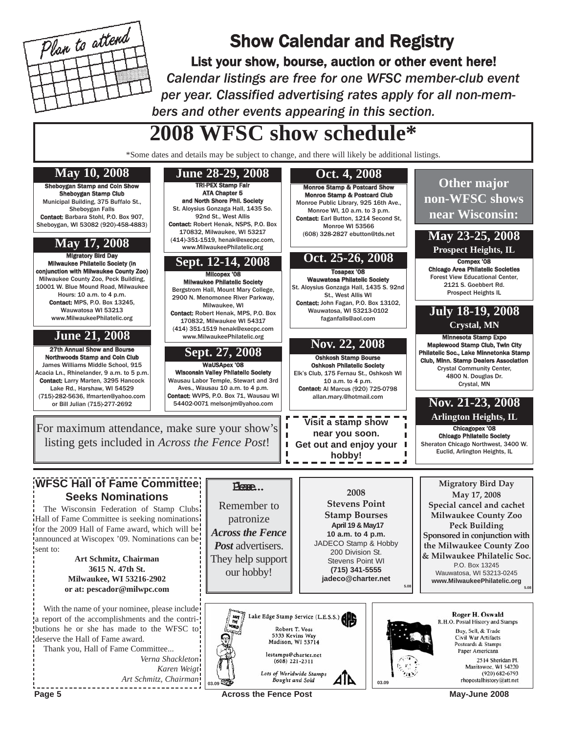

## Show Calendar and Registry

List your show, bourse, auction or other event here! *Calendar listings are free for one WFSC member-club event per year. Classified advertising rates apply for all non-members and other events appearing in this section.*

# **2008 WFSC show schedule\***

\*Some dates and details may be subject to change, and there will likely be additional listings.



Page 5 **May-June 2008 Across the Fence Post** May-June 2008